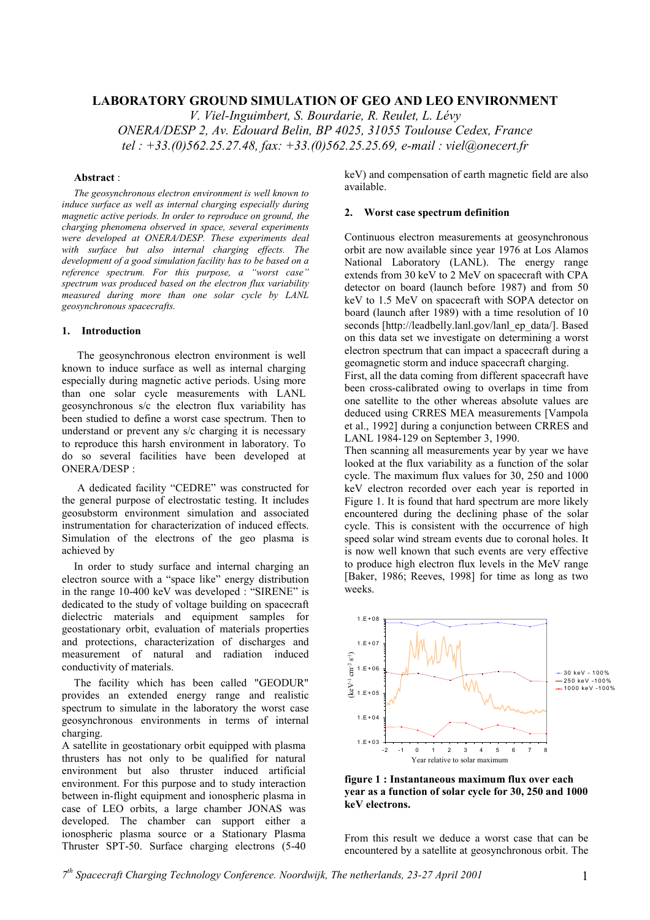# **LABORATORY GROUND SIMULATION OF GEO AND LEO ENVIRONMENT**

*V. Viel-Inguimbert, S. Bourdarie, R. Reulet, L. Lévy ONERA/DESP 2, Av. Edouard Belin, BP 4025, 31055 Toulouse Cedex, France tel : +33.(0)562.25.27.48, fax: +33.(0)562.25.25.69, e-mail : viel@onecert.fr*

#### **Abstract** :

*The geosynchronous electron environment is well known to induce surface as well as internal charging especially during magnetic active periods. In order to reproduce on ground, the charging phenomena observed in space, several experiments were developed at ONERA/DESP. These experiments deal with surface but also internal charging effects. The development of a good simulation facility has to be based on a reference spectrum. For this purpose, a "worst case" spectrum was produced based on the electron flux variability measured during more than one solar cycle by LANL geosynchronous spacecrafts.*

#### **1. Introduction**

The geosynchronous electron environment is well known to induce surface as well as internal charging especially during magnetic active periods. Using more than one solar cycle measurements with LANL geosynchronous s/c the electron flux variability has been studied to define a worst case spectrum. Then to understand or prevent any s/c charging it is necessary to reproduce this harsh environment in laboratory. To do so several facilities have been developed at ONERA/DESP :

A dedicated facility "CEDRE" was constructed for the general purpose of electrostatic testing. It includes geosubstorm environment simulation and associated instrumentation for characterization of induced effects. Simulation of the electrons of the geo plasma is achieved by

In order to study surface and internal charging an electron source with a "space like" energy distribution in the range 10-400 keV was developed : "SIRENE" is dedicated to the study of voltage building on spacecraft dielectric materials and equipment samples for geostationary orbit, evaluation of materials properties and protections, characterization of discharges and measurement of natural and radiation induced conductivity of materials.

The facility which has been called "GEODUR" provides an extended energy range and realistic spectrum to simulate in the laboratory the worst case geosynchronous environments in terms of internal charging.

A satellite in geostationary orbit equipped with plasma thrusters has not only to be qualified for natural environment but also thruster induced artificial environment. For this purpose and to study interaction between in-flight equipment and ionospheric plasma in case of LEO orbits, a large chamber JONAS was developed. The chamber can support either a ionospheric plasma source or a Stationary Plasma Thruster SPT-50. Surface charging electrons (5-40

keV) and compensation of earth magnetic field are also available.

#### **2. Worst case spectrum definition**

Continuous electron measurements at geosynchronous orbit are now available since year 1976 at Los Alamos National Laboratory (LANL). The energy range extends from 30 keV to 2 MeV on spacecraft with CPA detector on board (launch before 1987) and from 50 keV to 1.5 MeV on spacecraft with SOPA detector on board (launch after 1989) with a time resolution of 10 seconds [http://leadbelly.lanl.gov/lanl\_ep\_data/]. Based on this data set we investigate on determining a worst electron spectrum that can impact a spacecraft during a geomagnetic storm and induce spacecraft charging.

First, all the data coming from different spacecraft have been cross-calibrated owing to overlaps in time from one satellite to the other whereas absolute values are deduced using CRRES MEA measurements [Vampola et al., 1992] during a conjunction between CRRES and LANL 1984-129 on September 3, 1990.

Then scanning all measurements year by year we have looked at the flux variability as a function of the solar cycle. The maximum flux values for 30, 250 and 1000 keV electron recorded over each year is reported in Figure 1. It is found that hard spectrum are more likely encountered during the declining phase of the solar cycle. This is consistent with the occurrence of high speed solar wind stream events due to coronal holes. It is now well known that such events are very effective to produce high electron flux levels in the MeV range [Baker, 1986; Reeves, 1998] for time as long as two weeks.



**figure 1 : Instantaneous maximum flux over each year as a function of solar cycle for 30, 250 and 1000 keV electrons.**

From this result we deduce a worst case that can be encountered by a satellite at geosynchronous orbit. The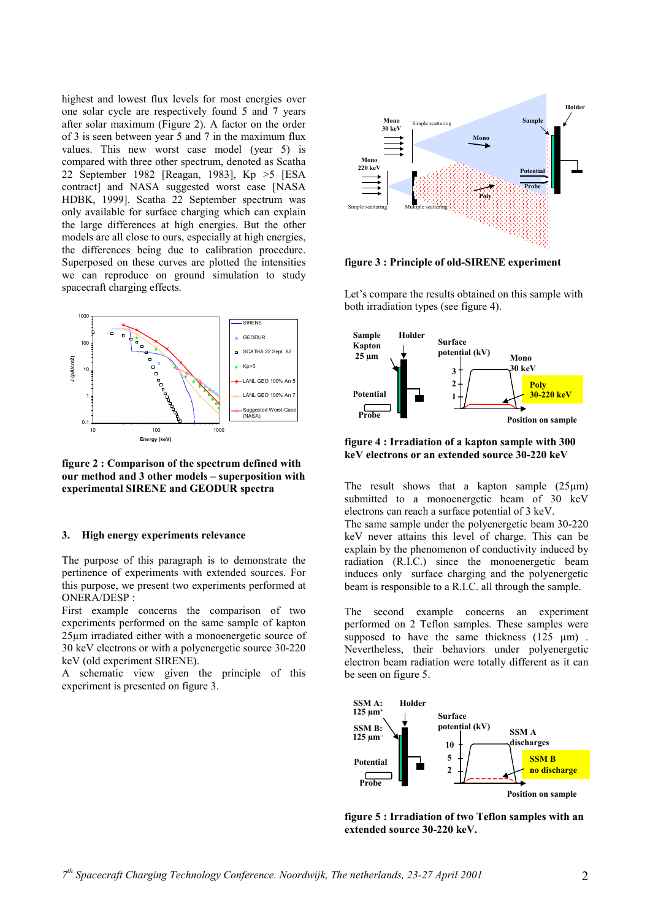highest and lowest flux levels for most energies over one solar cycle are respectively found 5 and 7 years after solar maximum (Figure 2). A factor on the order of 3 is seen between year 5 and 7 in the maximum flux values. This new worst case model (year 5) is compared with three other spectrum, denoted as Scatha 22 September 1982 [Reagan, 1983], Kp >5 [ESA contract] and NASA suggested worst case [NASA HDBK, 1999]. Scatha 22 September spectrum was only available for surface charging which can explain the large differences at high energies. But the other models are all close to ours, especially at high energies, the differences being due to calibration procedure. Superposed on these curves are plotted the intensities we can reproduce on ground simulation to study spacecraft charging effects.



**figure 2 : Comparison of the spectrum defined with our method and 3 other models – superposition with experimental SIRENE and GEODUR spectra**

#### **3. High energy experiments relevance**

The purpose of this paragraph is to demonstrate the pertinence of experiments with extended sources. For this purpose, we present two experiments performed at ONERA/DESP :

First example concerns the comparison of two experiments performed on the same sample of kapton 25µm irradiated either with a monoenergetic source of 30 keV electrons or with a polyenergetic source 30-220 keV (old experiment SIRENE).

A schematic view given the principle of this experiment is presented on figure 3.



**figure 3 : Principle of old-SIRENE experiment**

Let's compare the results obtained on this sample with both irradiation types (see figure 4).



**figure 4 : Irradiation of a kapton sample with 300 keV electrons or an extended source 30-220 keV**

The result shows that a kapton sample  $(25 \mu m)$ submitted to a monoenergetic beam of 30 keV electrons can reach a surface potential of 3 keV. The same sample under the polyenergetic beam 30-220 keV never attains this level of charge. This can be explain by the phenomenon of conductivity induced by radiation (R.I.C.) since the monoenergetic beam induces only surface charging and the polyenergetic beam is responsible to a R.I.C. all through the sample.

The second example concerns an experiment performed on 2 Teflon samples. These samples were supposed to have the same thickness  $(125 \mu m)$ . Nevertheless, their behaviors under polyenergetic electron beam radiation were totally different as it can be seen on figure 5.



**figure 5 : Irradiation of two Teflon samples with an extended source 30-220 keV.**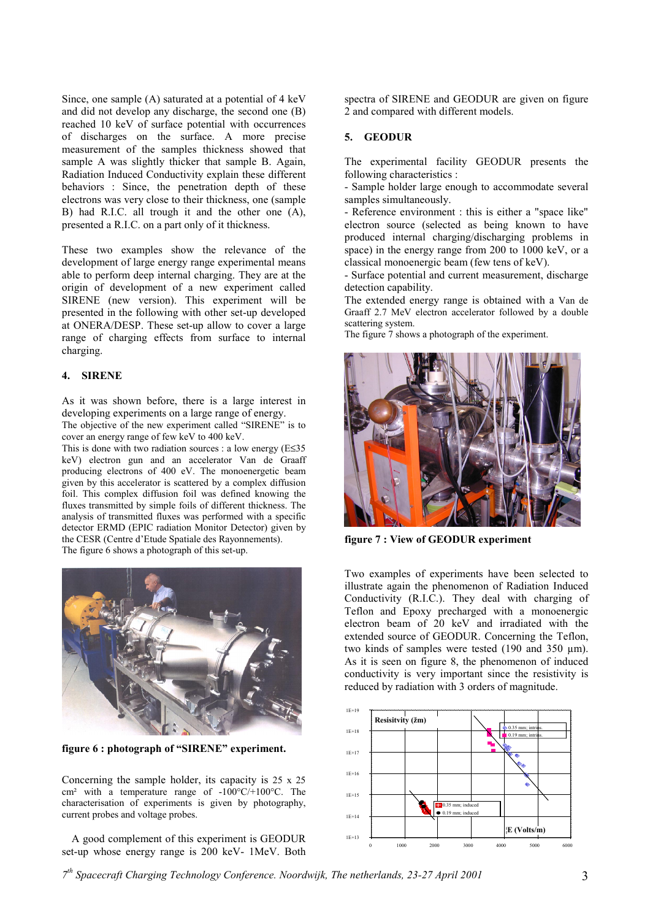Since, one sample (A) saturated at a potential of 4 keV and did not develop any discharge, the second one (B) reached 10 keV of surface potential with occurrences of discharges on the surface. A more precise measurement of the samples thickness showed that sample A was slightly thicker that sample B. Again, Radiation Induced Conductivity explain these different behaviors : Since, the penetration depth of these electrons was very close to their thickness, one (sample B) had R.I.C. all trough it and the other one (A), presented a R.I.C. on a part only of it thickness.

These two examples show the relevance of the development of large energy range experimental means able to perform deep internal charging. They are at the origin of development of a new experiment called SIRENE (new version). This experiment will be presented in the following with other set-up developed at ONERA/DESP. These set-up allow to cover a large range of charging effects from surface to internal charging.

### **4. SIRENE**

As it was shown before, there is a large interest in developing experiments on a large range of energy.

The objective of the new experiment called "SIRENE" is to cover an energy range of few keV to 400 keV.

This is done with two radiation sources : a low energy (E≤35 keV) electron gun and an accelerator Van de Graaff producing electrons of 400 eV. The monoenergetic beam given by this accelerator is scattered by a complex diffusion foil. This complex diffusion foil was defined knowing the fluxes transmitted by simple foils of different thickness. The analysis of transmitted fluxes was performed with a specific detector ERMD (EPIC radiation Monitor Detector) given by the CESR (Centre d'Etude Spatiale des Rayonnements). The figure 6 shows a photograph of this set-up.



**figure 6 : photograph of "SIRENE" experiment.**

Concerning the sample holder, its capacity is 25 x 25 cm² with a temperature range of -100°C/+100°C. The characterisation of experiments is given by photography, current probes and voltage probes.

A good complement of this experiment is GEODUR set-up whose energy range is 200 keV- 1MeV. Both spectra of SIRENE and GEODUR are given on figure 2 and compared with different models.

# **5. GEODUR**

The experimental facility GEODUR presents the following characteristics :

- Sample holder large enough to accommodate several samples simultaneously.

- Reference environment : this is either a "space like" electron source (selected as being known to have produced internal charging/discharging problems in space) in the energy range from 200 to 1000 keV, or a classical monoenergic beam (few tens of keV).

- Surface potential and current measurement, discharge detection capability.

The extended energy range is obtained with a Van de Graaff 2.7 MeV electron accelerator followed by a double scattering system.

The figure 7 shows a photograph of the experiment.



**figure 7 : View of GEODUR experiment**

Two examples of experiments have been selected to illustrate again the phenomenon of Radiation Induced Conductivity (R.I.C.). They deal with charging of Teflon and Epoxy precharged with a monoenergic electron beam of 20 keV and irradiated with the extended source of GEODUR. Concerning the Teflon, two kinds of samples were tested  $(190 \text{ and } 350 \text{ µm})$ . As it is seen on figure 8, the phenomenon of induced conductivity is very important since the resistivity is reduced by radiation with 3 orders of magnitude.



*7th Spacecraft Charging Technology Conference. Noordwijk, The netherlands, 23-27 April 2001* 3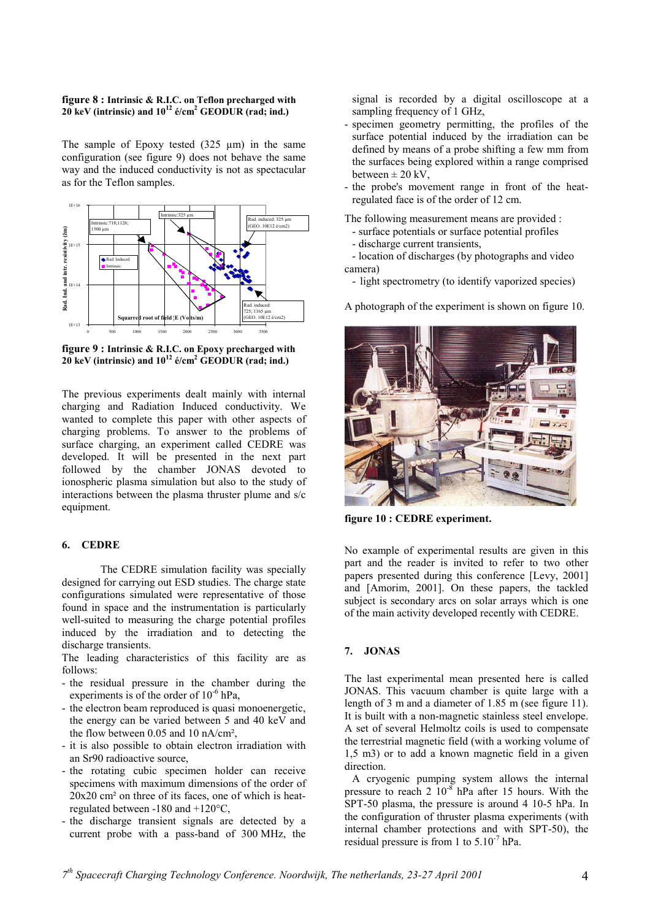#### **figure 8 : Intrinsic & R.I.C. on Teflon precharged with 20 keV (intrinsic) and 1012 é/cm2 GEODUR (rad; ind.)**

The sample of Epoxy tested  $(325 \mu m)$  in the same configuration (see figure 9) does not behave the same way and the induced conductivity is not as spectacular as for the Teflon samples.



**figure 9 : Intrinsic & R.I.C. on Epoxy precharged with 20 keV (intrinsic) and 1012 é/cm2 GEODUR (rad; ind.)**

The previous experiments dealt mainly with internal charging and Radiation Induced conductivity. We wanted to complete this paper with other aspects of charging problems. To answer to the problems of surface charging, an experiment called CEDRE was developed. It will be presented in the next part followed by the chamber JONAS devoted to ionospheric plasma simulation but also to the study of interactions between the plasma thruster plume and s/c equipment.

### **6. CEDRE**

The CEDRE simulation facility was specially designed for carrying out ESD studies. The charge state configurations simulated were representative of those found in space and the instrumentation is particularly well-suited to measuring the charge potential profiles induced by the irradiation and to detecting the discharge transients.

The leading characteristics of this facility are as follows:

- the residual pressure in the chamber during the experiments is of the order of  $10^{-6}$  hPa.
- the electron beam reproduced is quasi monoenergetic, the energy can be varied between 5 and 40 keV and the flow between 0.05 and 10 nA/cm²,
- it is also possible to obtain electron irradiation with an Sr90 radioactive source,
- the rotating cubic specimen holder can receive specimens with maximum dimensions of the order of 20x20 cm² on three of its faces, one of which is heatregulated between -180 and +120°C,
- the discharge transient signals are detected by a current probe with a pass-band of 300 MHz, the

signal is recorded by a digital oscilloscope at a sampling frequency of 1 GHz,

- specimen geometry permitting, the profiles of the surface potential induced by the irradiation can be defined by means of a probe shifting a few mm from the surfaces being explored within a range comprised between  $\pm 20$  kV,
- the probe's movement range in front of the heatregulated face is of the order of 12 cm.

The following measurement means are provided :

- surface potentials or surface potential profiles
- discharge current transients,

- location of discharges (by photographs and video camera)

- light spectrometry (to identify vaporized species)

A photograph of the experiment is shown on figure 10.



**figure 10 : CEDRE experiment.**

No example of experimental results are given in this part and the reader is invited to refer to two other papers presented during this conference [Levy, 2001] and [Amorim, 2001]. On these papers, the tackled subject is secondary arcs on solar arrays which is one of the main activity developed recently with CEDRE.

## **7. JONAS**

The last experimental mean presented here is called JONAS. This vacuum chamber is quite large with a length of 3 m and a diameter of 1.85 m (see figure 11). It is built with a non-magnetic stainless steel envelope. A set of several Helmoltz coils is used to compensate the terrestrial magnetic field (with a working volume of 1,5 m3) or to add a known magnetic field in a given direction.

A cryogenic pumping system allows the internal pressure to reach  $2 \times 10^{-8}$  hPa after 15 hours. With the SPT-50 plasma, the pressure is around 4 10-5 hPa. In the configuration of thruster plasma experiments (with internal chamber protections and with SPT-50), the residual pressure is from 1 to  $5.10^{-7}$  hPa.